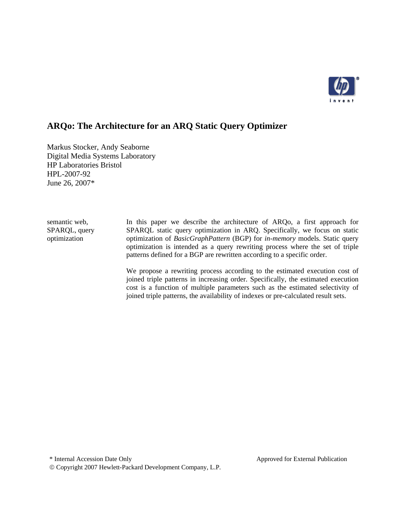

# **ARQo: The Architecture for an ARQ Static Query Optimizer**

Markus Stocker, Andy Seaborne Digital Media Systems Laboratory HP Laboratories Bristol HPL-2007-92 June 26, 2007\*

semantic web, SPARQL, query optimization

In this paper we describe the architecture of ARQo, a first approach for SPARQL static query optimization in ARQ. Specifically, we focus on static optimization of *BasicGraphPattern* (BGP) for *in-memory* models. Static query optimization is intended as a query rewriting process where the set of triple patterns defined for a BGP are rewritten according to a specific order.

We propose a rewriting process according to the estimated execution cost of joined triple patterns in increasing order. Specifically, the estimated execution cost is a function of multiple parameters such as the estimated selectivity of joined triple patterns, the availability of indexes or pre-calculated result sets.

© Copyright 2007 Hewlett-Packard Development Company, L.P.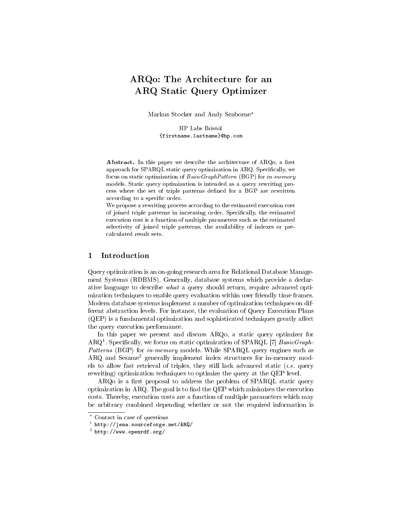# ARQo: The Architecture for an ARQ Static Query Optimizer

Markus Stocker and Andy Seaborne?

HP Labs Bristol {firstname.lastname}@hp.com

Abstract. In this paper we describe the architecture of  $ARQ<sub>0</sub>$ , a first approach for SPARQL static query optimization in ARQ. Specifically, we focus on static optimization of BasicGraphPattern (BGP) for in-memory models. Static query optimization is intended as a query rewriting process where the set of triple patterns defined for a BGP are rewritten according to a specific order.

We propose a rewriting process according to the estimated execution cost of joined triple patterns in increasing order. Specifically, the estimated execution cost is a function of multiple parameters such as the estimated selectivity of joined triple patterns, the availability of indexes or precalculated result sets.

## 1 Introduction

Query optimization is an on-going research area for Relational Database Management Systems (RDBMS). Generally, database systems which provide a declarative language to describe what a query should return, require advanced optimization techniques to enable query evaluation within user friendly time frames. Modern database systems implement a number of optimization techniques on different abstraction levels. For instance, the evaluation of Query Execution Plans  $(QEP)$  is a fundamental optimization and sophisticated techniques greatly affect the query execution performance.

In this paper we present and discuss ARQo, a static query optimizer for  $ARQ<sup>1</sup>$ . Specifically, we focus on static optimization of SPARQL [7]  $BasicGraph-$ Patterns (BGP) for in-memory models. While SPARQL query engines such as ARQ and Sesame<sup>2</sup> generally implement index structures for in-memory models to allow fast retrieval of triples, they still lack advanced static *(i.e.* query rewriting) optimization techniques to optimize the query at the QEP level.

 $ARQo$  is a first proposal to address the problem of  $SPARQL$  static query optimization in  $ARQ$ . The goal is to find the  $QEP$  which minimizes the execution costs. Thereby, execution costs are a function of multiple parameters which may be arbitrary combined depending whether or not the required information is

<sup>?</sup> Contact in case of questions

<sup>1</sup> http://jena.sourceforge.net/ARQ/

<sup>2</sup> http://www.openrdf.org/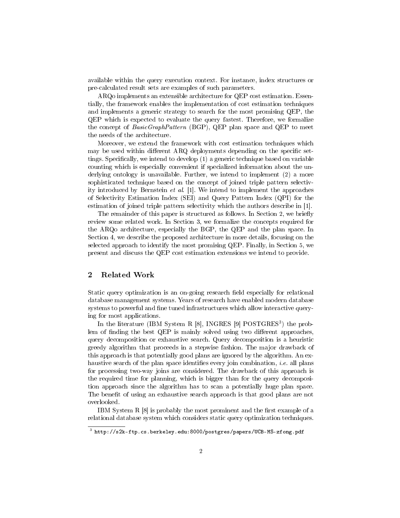available within the query execution context. For instance, index structures or pre-calculated result sets are examples of such parameters.

ARQo implements an extensible architecture for QEP cost estimation. Essentially, the framework enables the implementation of cost estimation techniques and implements a generic strategy to search for the most promising QEP, the QEP which is expected to evaluate the query fastest. Therefore, we formalize the concept of BasicGraphPattern (BGP), QEP plan space and QEP to meet the needs of the architecture.

Moreover, we extend the framework with cost estimation techniques which may be used within different ARQ deployments depending on the specific settings. Specifically, we intend to develop  $(1)$  a generic technique based on variable counting which is especially convenient if specialized information about the underlying ontology is unavailable. Further, we intend to implement (2) a more sophisticated technique based on the concept of joined triple pattern selectivity introduced by Bernstein et al. [1]. We intend to implement the approaches of Selectivity Estimation Index (SEI) and Query Pattern Index (QPI) for the estimation of joined triple pattern selectivity which the authors describe in [1].

The remainder of this paper is structured as follows. In Section 2, we briefly review some related work. In Section 3, we formalize the concepts required for the ARQo architecture, especially the BGP, the QEP and the plan space. In Section 4, we describe the proposed architecture in more details, focusing on the selected approach to identify the most promising QEP. Finally, in Section 5, we present and discuss the QEP cost estimation extensions we intend to provide.

## 2 Related Work

Static query optimization is an on-going research field especially for relational database management systems. Years of research have enabled modern database systems to powerful and fine tuned infrastructures which allow interactive querying for most applications.

In the literature (IBM System R [8], INGRES [9] POSTGRES<sup>3</sup>) the problem of finding the best  $QEP$  is mainly solved using two different approaches, query decomposition or exhaustive search. Query decomposition is a heuristic greedy algorithm that proceeds in a stepwise fashion. The major drawback of this approach is that potentially good plans are ignored by the algorithm. An exhaustive search of the plan space identifies every join combination, *i.e.* all plans for processing two-way joins are considered. The drawback of this approach is the required time for planning, which is bigger than for the query decomposition approach since the algorithm has to scan a potentially huge plan space. The benefit of using an exhaustive search approach is that good plans are not overlooked.

IBM System R  $[8]$  is probably the most prominent and the first example of a relational database system which considers static query optimization techniques.

 $^3$  http://s2k-ftp.cs.berkeley.edu:8000/postgres/papers/UCB-MS-zfong.pdf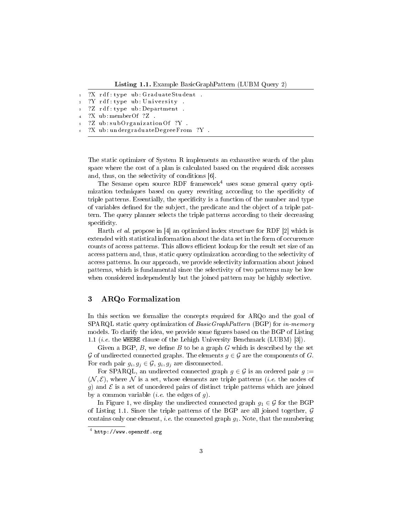Listing 1.1. Example BasicGraphPattern (LUBM Query 2)

```
1 ?X rdf : type ub : GraduateStudent .
2 ?Y rdf: type ub: University
  ?Z rdf:type ub:Department
  ?X ub:memberOf ?Z
```
- ?Z ub: subOrganizationOf ?Y.
- ?X ub: undergraduateDegreeFrom ?Y.

The static optimizer of System R implements an exhaustive search of the plan space where the cost of a plan is calculated based on the required disk accesses and, thus, on the selectivity of conditions [6].

The Sesame open source RDF framework<sup>4</sup> uses some general query optimization techniques based on query rewriting according to the specificity of triple patterns. Essentially, the specificity is a function of the number and type of variables defined for the subject, the predicate and the object of a triple pattern. The query planner selects the triple patterns according to their decreasing specificity.

Harth et al. propose in [4] an optimized index structure for RDF [2] which is extended with statistical information about the data set in the form of occurrence counts of access patterns. This allows efficient lookup for the result set size of an access pattern and, thus, static query optimization according to the selectivity of access patterns. In our approach, we provide selectivity information about joined patterns, which is fundamental since the selectivity of two patterns may be low when considered independently but the joined pattern may be highly selective.

## 3 ARQo Formalization

In this section we formalize the concepts required for ARQo and the goal of SPARQL static query optimization of *BasicGraphPattern* (BGP) for *in-memory* models. To clarify the idea, we provide some figures based on the BGP of Listing 1.1 (i.e. the WHERE clause of the Lehigh University Benchmark (LUBM) [3]).

Given a BGP,  $B$ , we define  $B$  to be a graph  $G$  which is described by the set G of undirected connected graphs. The elements  $g \in \mathcal{G}$  are the components of G. For each pair  $g_i, g_j \in \mathcal{G}, g_i, g_j$  are disconnected.

For SPARQL, an undirected connected graph  $g \in \mathcal{G}$  is an ordered pair  $g :=$  $(N, \mathcal{E})$ , where N is a set, whose elements are triple patterns *(i.e.* the nodes of g) and  $\mathcal E$  is a set of unordered pairs of distinct triple patterns which are joined by a common variable (*i.e.* the edges of  $q$ ).

In Figure 1, we display the undirected connected graph  $g_1 \in \mathcal{G}$  for the BGP of Listing 1.1. Since the triple patterns of the BGP are all joined together,  $\mathcal G$ contains only one element, i.e. the connected graph  $g_1$ . Note, that the numbering

 $^4$  http://www.openrdf.org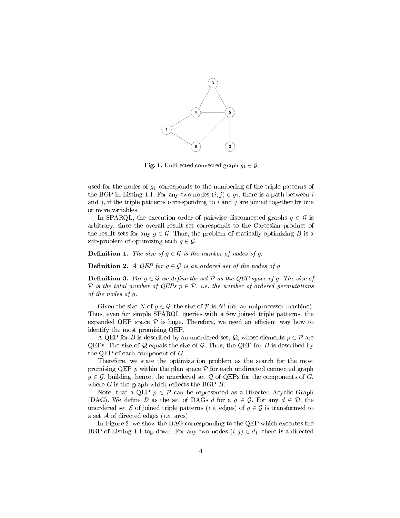

**Fig. 1.** Undirected connected graph  $g_1 \in \mathcal{G}$ 

used for the nodes of  $g_1$  corresponds to the numbering of the triple patterns of the BGP in Listing 1.1. For any two nodes  $(i, j) \in g_1$ , there is a path between i and  $j$ , if the triple patterns corresponding to  $i$  and  $j$  are joined together by one or more variables.

In SPARQL, the execution order of pairwise disconnected graphs  $q \in \mathcal{G}$  is arbitrary, since the overall result set corresponds to the Cartesian product of the result sets for any  $g \in \mathcal{G}$ . Thus, the problem of statically optimizing B is a sub-problem of optimizing each  $g \in \mathcal{G}$ .

**Definition 1.** The size of  $g \in \mathcal{G}$  is the number of nodes of g.

**Definition 2.** A QEP for  $g \in \mathcal{G}$  is an ordered set of the nodes of g.

**Definition 3.** For  $q \in \mathcal{G}$  we define the set  $\mathcal{P}$  as the QEP space of q. The size of P is the total number of QEPs  $p \in \mathcal{P}$ , i.e. the number of ordered permutations of the nodes of g.

Given the size N of  $q \in \mathcal{G}$ , the size of P is N! (for an uniprocessor machine). Thus, even for simple SPARQL queries with a few joined triple patterns, the expanded QEP space  $P$  is huge. Therefore, we need an efficient way how to identify the most promising QEP.

A QEP for B is described by an unordered set,  $\mathcal{Q}$ , whose elements  $p \in \mathcal{P}$  are QEPs. The size of  $Q$  equals the size of  $G$ . Thus, the QEP for  $B$  is described by the QEP of each component of  $G$ .

Therefore, we state the optimization problem as the search for the most promising QEP  $p$  within the plan space  $\mathcal P$  for each undirected connected graph  $g \in \mathcal{G}$ , building, hence, the unordered set  $\mathcal{Q}$  of QEPs for the components of  $G$ , where  $G$  is the graph which reflects the BGP  $B$ .

Note, that a QEP  $p \in \mathcal{P}$  can be represented as a Directed Acyclic Graph (DAG). We define D as the set of DAGs d for a  $q \in \mathcal{G}$ . For any  $d \in \mathcal{D}$ , the unordered set  $\mathcal E$  of joined triple patterns (*i.e.* edges) of  $g \in \mathcal G$  is transformed to a set  $A$  of directed edges (*i.e.* arcs).

In Figure 2, we show the DAG corresponding to the QEP which executes the BGP of Listing 1.1 top-down. For any two nodes  $(i, j) \in d_1$ , there is a directed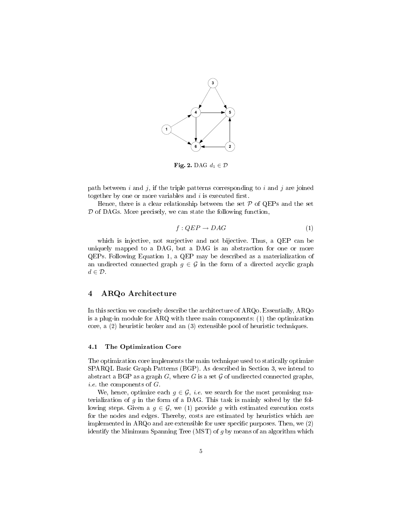

Fig. 2. DAG  $d_1 \in \mathcal{D}$ 

path between i and j, if the triple patterns corresponding to i and j are joined together by one or more variables and  $i$  is executed first.

Hence, there is a clear relationship between the set  $P$  of QEPs and the set  $D$  of DAGs. More precisely, we can state the following function,

$$
f: QEP \to DAG \tag{1}
$$

which is injective, not surjective and not bijective. Thus, a QEP can be uniquely mapped to a DAG, but a DAG is an abstraction for one or more QEPs. Following Equation 1, a QEP may be described as a materialization of an undirected connected graph  $g \in \mathcal{G}$  in the form of a directed acyclic graph  $d \in \mathcal{D}$ .

## 4 ARQo Architecture

In this section we concisely describe the architecture of ARQo. Essentially, ARQo is a plug-in module for ARQ with three main components: (1) the optimization core, a (2) heuristic broker and an (3) extensible pool of heuristic techniques.

#### 4.1 The Optimization Core

The optimization core implements the main technique used to statically optimize SPARQL Basic Graph Patterns (BGP). As described in Section 3, we intend to abstract a BGP as a graph G, where G is a set  $G$  of undirected connected graphs, *i.e.* the components of  $G$ .

We, hence, optimize each  $g \in \mathcal{G}$ , *i.e.* we search for the most promising materialization of g in the form of a DAG. This task is mainly solved by the following steps. Given a  $g \in \mathcal{G}$ , we (1) provide g with estimated execution costs for the nodes and edges. Thereby, costs are estimated by heuristics which are implemented in  $ARQo$  and are extensible for user specific purposes. Then, we  $(2)$ identify the Minimum Spanning Tree (MST) of  $g$  by means of an algorithm which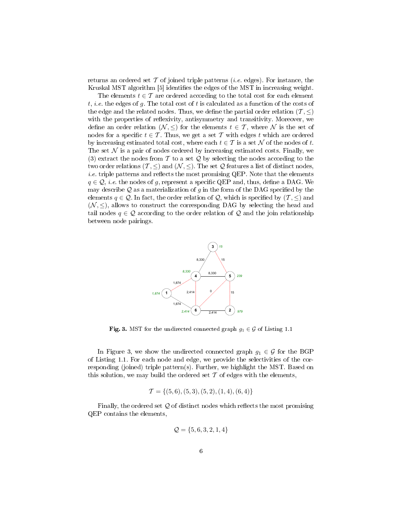returns an ordered set  $\mathcal T$  of joined triple patterns *(i.e.* edges). For instance, the Kruskal MST algorithm [5] identifies the edges of the MST in increasing weight.

The elements  $t \in \mathcal{T}$  are ordered according to the total cost for each element t, *i.e.* the edges of g. The total cost of t is calculated as a function of the costs of the edge and the related nodes. Thus, we define the partial order relation  $(\mathcal{T}, \leq)$ with the properties of reflexivity, antisymmetry and transitivity. Moreover, we define an order relation  $(\mathcal{N}, \leq)$  for the elements  $t \in \mathcal{T}$ , where  $\mathcal N$  is the set of nodes for a specific  $t \in \mathcal{T}$ . Thus, we get a set  $\mathcal T$  with edges t which are ordered by increasing estimated total cost, where each  $t \in \mathcal{T}$  is a set N of the nodes of t. The set  $\mathcal N$  is a pair of nodes ordered by increasing estimated costs. Finally, we (3) extract the nodes from  $\mathcal T$  to a set  $\mathcal Q$  by selecting the nodes according to the two order relations ( $\mathcal{T}, \leq$ ) and ( $\mathcal{N}, \leq$ ). The set Q features a list of distinct nodes, *i.e.* triple patterns and reflects the most promising QEP. Note that the elements  $q \in \mathcal{Q}$ , *i.e.* the nodes of g, represent a specific QEP and, thus, define a DAG. We may describe  $\mathcal Q$  as a materialization of q in the form of the DAG specified by the elements  $q \in \mathcal{Q}$ . In fact, the order relation of  $\mathcal{Q}$ , which is specified by  $(\mathcal{T}, \leq)$  and  $(N, \leq)$ , allows to construct the corresponding DAG by selecting the head and tail nodes  $q \in \mathcal{Q}$  according to the order relation of  $\mathcal{Q}$  and the join relationship between node pairings.



Fig. 3. MST for the undirected connected graph  $g_1 \in \mathcal{G}$  of Listing 1.1

In Figure 3, we show the undirected connected graph  $g_1 \in \mathcal{G}$  for the BGP of Listing 1.1. For each node and edge, we provide the selectivities of the corresponding (joined) triple pattern(s). Further, we highlight the MST. Based on this solution, we may build the ordered set  $\mathcal T$  of edges with the elements,

$$
\mathcal{T} = \{(5,6), (5,3), (5,2), (1,4), (6,4)\}
$$

Finally, the ordered set  $Q$  of distinct nodes which reflects the most promising QEP contains the elements,

$$
\mathcal{Q} = \{5,6,3,2,1,4\}
$$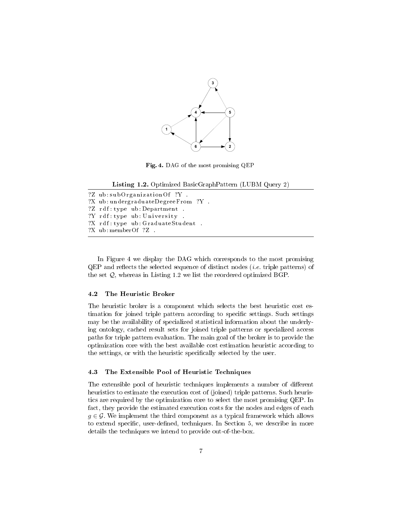

Fig. 4. DAG of the most promising QEP

Listing 1.2. Optimized BasicGraphPattern (LUBM Query 2)

?Z ub: subOrganizationOf ?Y. ?X ub : undergraduateDegreeFrom ?Y . ?Z rdf:type ub:Department. ?Y rdf:type ub: University . ?X rdf:type ub:GraduateStudent . ?X ub : memberOf ?Z .

In Figure 4 we display the DAG which corresponds to the most promising  $QEP$  and reflects the selected sequence of distinct nodes *(i.e.* triple patterns) of the set Q, whereas in Listing 1.2 we list the reordered optimized BGP.

#### 4.2 The Heuristic Broker

The heuristic broker is a component which selects the best heuristic cost estimation for joined triple pattern according to specific settings. Such settings may be the availability of specialized statistical information about the underlying ontology, cached result sets for joined triple patterns or specialized access paths for triple pattern evaluation. The main goal of the broker is to provide the optimization core with the best available cost estimation heuristic according to the settings, or with the heuristic specifically selected by the user.

#### 4.3 The Extensible Pool of Heuristic Techniques

The extensible pool of heuristic techniques implements a number of different heuristics to estimate the execution cost of (joined) triple patterns. Such heuristics are required by the optimization core to select the most promising QEP. In fact, they provide the estimated execution costs for the nodes and edges of each  $q \in \mathcal{G}$ . We implement the third component as a typical framework which allows to extend specific, user-defined, techniques. In Section 5, we describe in more details the techniques we intend to provide out-of-the-box.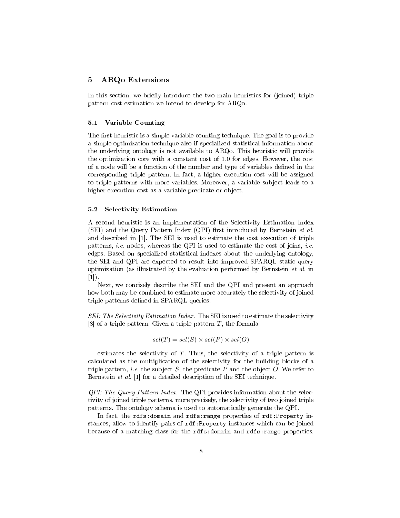### 5 ARQo Extensions

In this section, we briefly introduce the two main heuristics for (joined) triple pattern cost estimation we intend to develop for ARQo.

### 5.1 Variable Counting

The first heuristic is a simple variable counting technique. The goal is to provide a simple optimization technique also if specialized statistical information about the underlying ontology is not available to ARQo. This heuristic will provide the optimization core with a constant cost of 1.0 for edges. However, the cost of a node will be a function of the number and type of variables defined in the corresponding triple pattern. In fact, a higher execution cost will be assigned to triple patterns with more variables. Moreover, a variable subject leads to a higher execution cost as a variable predicate or object.

#### 5.2 Selectivity Estimation

A second heuristic is an implementation of the Selectivity Estimation Index (SEI) and the Query Pattern Index (QPI) first introduced by Bernstein et al. and described in [1]. The SEI is used to estimate the cost execution of triple patterns, *i.e.* nodes, whereas the QPI is used to estimate the cost of joins, *i.e.* edges. Based on specialized statistical indexes about the underlying ontology, the SEI and QPI are expected to result into improved SPARQL static query optimization (as illustrated by the evaluation performed by Bernstein et al. in  $[1]$ .

Next, we concisely describe the SEI and the QPI and present an approach how both may be combined to estimate more accurately the selectivity of joined triple patterns defined in SPARQL queries.

SEI: The Selectivity Estimation Index. The SEI is used to estimate the selectivity [8] of a triple pattern. Given a triple pattern  $T$ , the formula

$$
sel(T) = sel(S) \times sel(P) \times sel(O)
$$

estimates the selectivity of  $T$ . Thus, the selectivity of a triple pattern is calculated as the multiplication of the selectivity for the building blocks of a triple pattern, *i.e.* the subject S, the predicate P and the object O. We refer to Bernstein et al. [1] for a detailed description of the SEI technique.

QPI: The Query Pattern Index. The QPI provides information about the selectivity of joined triple patterns, more precisely, the selectivity of two joined triple patterns. The ontology schema is used to automatically generate the QPI.

In fact, the rdfs:domain and rdfs:range properties of rdf:Property instances, allow to identify pairs of rdf:Property instances which can be joined because of a matching class for the rdfs:domain and rdfs:range properties.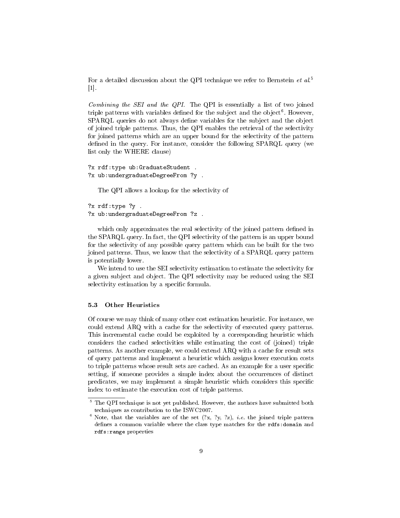For a detailed discussion about the QPI technique we refer to Bernstein et al.<sup>5</sup>  $|1|$ .

Combining the SEI and the QPI. The QPI is essentially a list of two joined triple patterns with variables defined for the subject and the object<sup>6</sup>. However, SPARQL queries do not always define variables for the subject and the object of joined triple patterns. Thus, the QPI enables the retrieval of the selectivity for joined patterns which are an upper bound for the selectivity of the pattern defined in the query. For instance, consider the following SPARQL query (we list only the WHERE clause)

```
?x rdf:type ub:GraduateStudent .
?x ub:undergraduateDegreeFrom ?y .
```
The QPI allows a lookup for the selectivity of

```
?x rdf:type ?y .
?x ub:undergraduateDegreeFrom ?z .
```
which only approximates the real selectivity of the joined pattern defined in the SPARQL query. In fact, the QPI selectivity of the pattern is an upper bound for the selectivity of any possible query pattern which can be built for the two joined patterns. Thus, we know that the selectivity of a SPARQL query pattern is potentially lower.

We intend to use the SEI selectivity estimation to estimate the selectivity for a given subject and object. The QPI selectivity may be reduced using the SEI selectivity estimation by a specific formula.

#### 5.3 Other Heuristics

Of course we may think of many other cost estimation heuristic. For instance, we could extend ARQ with a cache for the selectivity of executed query patterns. This incremental cache could be exploited by a corresponding heuristic which considers the cached selectivities while estimating the cost of (joined) triple patterns. As another example, we could extend ARQ with a cache for result sets of query patterns and implement a heuristic which assigns lower execution costs to triple patterns whose result sets are cached. As an example for a user specific setting, if someone provides a simple index about the occurrences of distinct predicates, we may implement a simple heuristic which considers this specific index to estimate the execution cost of triple patterns.

 $5$  The QPI technique is not yet published. However, the authors have submitted both techniques as contribution to the ISWC2007.

 $6$  Note, that the variables are of the set  $(?x, ?y, ?z)$ , *i.e.* the joined triple pattern defines a common variable where the class type matches for the rdfs:domain and rdfs:range properties